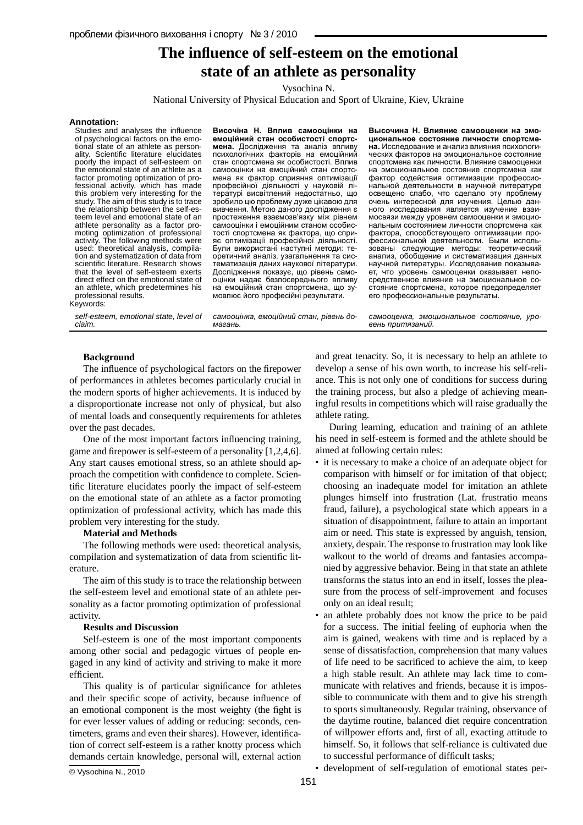# **The inuence of self-esteem on the emotional state of an athlete as personality**

Vysochina N.

National University of Physical Education and Sport of Ukraine, Kiev, Ukraine

## **Annotation:**

Studies and analyses the influence of psychological factors on the emotional state of an athlete as personality. Scientific literature elucidates poorly the impact of self-esteem on the emotional state of an athlete as a factor promoting optimization of professional activity, which has made this problem very interesting for the study. The aim of this study is to trace the relationship between the self-esteem level and emotional state of an athlete personality as a factor promoting optimization of professional activity. The following methods were used: theoretical analysis, compila-tion and systematization of data from scientific literature. Research shows that the level of self-esteem exerts direct effect on the emotional state of an athlete, which predetermines his professional results.

**Височіна Н. Вплив самооцінки на емоційний стан особистості спортсмена.** Дослідження та аналіз впливу психологічних факторів на емоційний стан спортсмена як особистості. Вплив самооцінки на емоційний стан спортсмена як фактор сприяння оптимізації професійної діяльності у науковій літературі висвітлений недостатньо, що зробило цю проблему дуже цікавою для вивчення. Метою даного дослідження є простеження взаємозв'язку між рівнем самооцінки і емоційним станом особистості спортсмена як фактора, що сприяє оптимізації професійної діяльності. Були використані наступні методи: теоретичний аналіз, узагальнення та систематизація даних наукової літератури. Дослідження показує, що рівень самооцінки надає безпосереднього впливу на емоційний стан спортсмена, що зу мовлює його професійні результати.

**Высочина Н. Влияние самооценки на эмоциональное состояние личности спортсмена.** Исследование и анализ влияния психологических факторов на эмоциональное состояние спортсмена как личности. Влияние самооценки на эмоциональное состояние спортсмена как фактор содействия оптимизации профессиональной деятельности в научной литературе освещено слабо, что сделало эту проблему очень интересной для изучения. Целью данного исследования является изучение взаимосвязи между уровнем самооценки и эмоциональным состоянием личности спортсмена как фактора, способствующего оптимизации профессиональной деятельности. Были использованы следующие методы: теоретический анализ, обобщение и систематизация данных научной литературы. Исследование показывает, что уровень самооценки оказывает непосредственное влияние на эмоциональное состояние спортсмена, которое предопределяет его профессиональные результаты.

Keywords:

*self-esteem, emotional state, level of claim.*

*самооцінка, емоційний стан, рівень домагань.*

*самооценка, эмоциональное состояние, уровень притязаний.*

## **Background**

The influence of psychological factors on the firepower of performances in athletes becomes particularly crucial in the modern sports of higher achievements. It is induced by a disproportionate increase not only of physical, but also of mental loads and consequently requirements for athletes over the past decades.

One of the most important factors influencing training, game and firepower is self-esteem of a personality  $[1,2,4,6]$ . Any start causes emotional stress, so an athlete should approach the competition with confidence to complete. Scientific literature elucidates poorly the impact of self-esteem on the emotional state of an athlete as a factor promoting optimization of professional activity, which has made this problem very interesting for the study.

## **Material and Methods**

The following methods were used: theoretical analysis, compilation and systematization of data from scientific literature.

The aim of this study is to trace the relationship between the self-esteem level and emotional state of an athlete personality as a factor promoting optimization of professional activity.

# **Results and Discussion**

Self-esteem is one of the most important components among other social and pedagogic virtues of people engaged in any kind of activity and striving to make it more efficient.

This quality is of particular significance for athletes and their specific scope of activity, because influence of an emotional component is the most weighty (the fight is for ever lesser values of adding or reducing: seconds, centimeters, grams and even their shares). However, identification of correct self-esteem is a rather knotty process which demands certain knowledge, personal will, external action

and great tenacity. So, it is necessary to help an athlete to develop a sense of his own worth, to increase his self-reliance. This is not only one of conditions for success during the training process, but also a pledge of achieving meaningful results in competitions which will raise gradually the athlete rating.

During learning, education and training of an athlete his need in self-esteem is formed and the athlete should be aimed at following certain rules:

- it is necessary to make a choice of an adequate object for comparison with himself or for imitation of that object; choosing an inadequate model for imitation an athlete plunges himself into frustration (Lat. frustratio means fraud, failure), a psychological state which appears in a situation of disappointment, failure to attain an important aim or need. This state is expressed by anguish, tension, anxiety, despair. The response to frustration may look like walkout to the world of dreams and fantasies accompanied by aggressive behavior. Being in that state an athlete transforms the status into an end in itself, losses the pleasure from the process of self-improvement and focuses only on an ideal result;
- an athlete probably does not know the price to be paid for a success. The initial feeling of euphoria when the aim is gained, weakens with time and is replaced by a sense of dissatisfaction, comprehension that many values of life need to be sacrificed to achieve the aim, to keep a high stable result. An athlete may lack time to communicate with relatives and friends, because it is impossible to communicate with them and to give his strength to sports simultaneously. Regular training, observance of the daytime routine, balanced diet require concentration of willpower efforts and, first of all, exacting attitude to himself. So, it follows that self-reliance is cultivated due to successful performance of difficult tasks;
- development of self-regulation of emotional states per-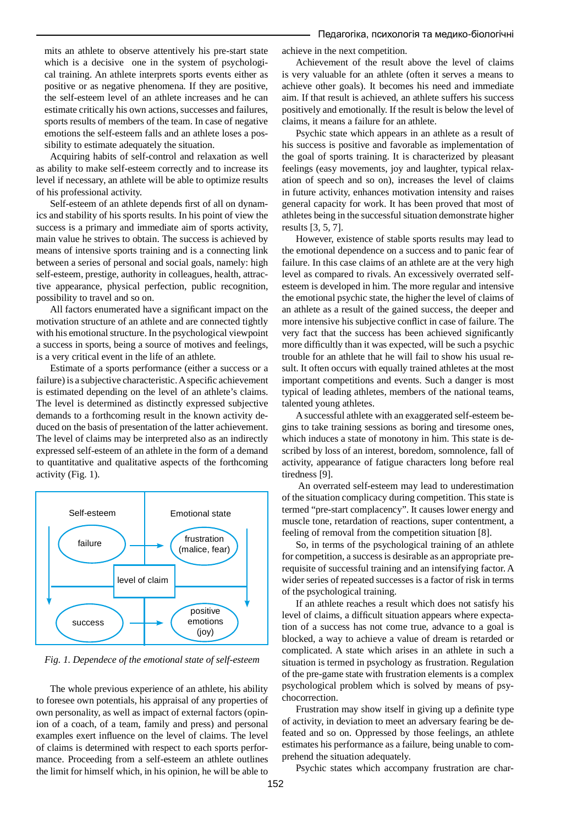mits an athlete to observe attentively his pre-start state which is a decisive one in the system of psychological training. An athlete interprets sports events either as positive or as negative phenomena. If they are positive, the self-esteem level of an athlete increases and he can estimate critically his own actions, successes and failures, sports results of members of the team. In case of negative emotions the self-esteem falls and an athlete loses a possibility to estimate adequately the situation.

Acquiring habits of self-control and relaxation as well as ability to make self-esteem correctly and to increase its level if necessary, an athlete will be able to optimize results of his professional activity.

Self-esteem of an athlete depends first of all on dynamics and stability of his sports results. In his point of view the success is a primary and immediate aim of sports activity, main value he strives to obtain. The success is achieved by means of intensive sports training and is a connecting link between a series of personal and social goals, namely: high self-esteem, prestige, authority in colleagues, health, attractive appearance, physical perfection, public recognition, possibility to travel and so on.

All factors enumerated have a significant impact on the motivation structure of an athlete and are connected tightly with his emotional structure. In the psychological viewpoint a success in sports, being a source of motives and feelings, is a very critical event in the life of an athlete.

Estimate of a sports performance (either a success or a failure) is a subjective characteristic. A specific achievement is estimated depending on the level of an athlete's claims. The level is determined as distinctly expressed subjective demands to a forthcoming result in the known activity deduced on the basis of presentation of the latter achievement. The level of claims may be interpreted also as an indirectly expressed self-esteem of an athlete in the form of a demand to quantitative and qualitative aspects of the forthcoming activity (Fig. 1).



*Fig. 1. Dependece of the emotional state of self-esteem*

The whole previous experience of an athlete, his ability to foresee own potentials, his appraisal of any properties of own personality, as well as impact of external factors (opinion of a coach, of a team, family and press) and personal examples exert influence on the level of claims. The level of claims is determined with respect to each sports performance. Proceeding from a self-esteem an athlete outlines the limit for himself which, in his opinion, he will be able to

achieve in the next competition.

Achievement of the result above the level of claims is very valuable for an athlete (often it serves a means to achieve other goals). It becomes his need and immediate aim. If that result is achieved, an athlete suffers his success positively and emotionally. If the result is below the level of claims, it means a failure for an athlete.

Psychic state which appears in an athlete as a result of his success is positive and favorable as implementation of the goal of sports training. It is characterized by pleasant feelings (easy movements, joy and laughter, typical relaxation of speech and so on), increases the level of claims in future activity, enhances motivation intensity and raises general capacity for work. It has been proved that most of athletes being in the successful situation demonstrate higher results [3, 5, 7].

However, existence of stable sports results may lead to the emotional dependence on a success and to panic fear of failure. In this case claims of an athlete are at the very high level as compared to rivals. An excessively overrated selfesteem is developed in him. The more regular and intensive the emotional psychic state, the higher the level of claims of an athlete as a result of the gained success, the deeper and more intensive his subjective conflict in case of failure. The very fact that the success has been achieved signicantly more difficultly than it was expected, will be such a psychic trouble for an athlete that he will fail to show his usual result. It often occurs with equally trained athletes at the most important competitions and events. Such a danger is most typical of leading athletes, members of the national teams, talented young athletes.

Asuccessful athlete with an exaggerated self-esteem begins to take training sessions as boring and tiresome ones, which induces a state of monotony in him. This state is described by loss of an interest, boredom, somnolence, fall of activity, appearance of fatigue characters long before real tiredness [9].

An overrated self-esteem may lead to underestimation of the situation complicacy during competition. This state is termed "pre-start complacency". It causes lower energy and muscle tone, retardation of reactions, super contentment, a feeling of removal from the competition situation [8].

So, in terms of the psychological training of an athlete for competition, a successis desirable as an appropriate prerequisite of successful training and an intensifying factor. A wider series of repeated successes is a factor of risk in terms of the psychological training.

If an athlete reaches a result which does not satisfy his level of claims, a difficult situation appears where expectation of a success has not come true, advance to a goal is blocked, a way to achieve a value of dream is retarded or complicated. A state which arises in an athlete in such a situation is termed in psychology as frustration. Regulation of the pre-game state with frustration elements is a complex psychological problem which is solved by means of psychocorrection.

Frustration may show itself in giving up a definite type of activity, in deviation to meet an adversary fearing be defeated and so on. Oppressed by those feelings, an athlete estimates his performance as a failure, being unable to comprehend the situation adequately.

Psychic states which accompany frustration are char-